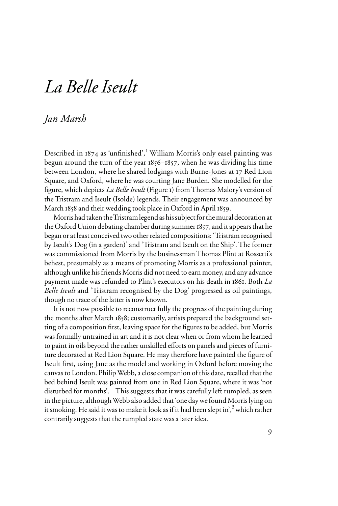## *La Belle Iseult*

## *Jan Marsh*

Described in  $1874$  as 'unfinished',<sup>1</sup> William Morris's only easel painting was begun around the turn of the year 1856–1857, when he was dividing his time between London, where he shared lodgings with Burne-Jones at 17 Red Lion Square, and Oxford, where he was courting Jane Burden. She modelled for the figure, which depicts *La Belle Iseult* (Figure 1) from Thomas Malory's version of the Tristram and Iseult (Isolde) legends. Their engagement was announced by March 1858 and their wedding took place in Oxford in April 1859.

Morris had taken the Tristram legend as his subject for the mural decoration at the Oxford Union debating chamber during summer 1857, and it appears that he began or at least conceived two other related compositions: 'Tristram recognised by Iseult's Dog (in a garden)' and 'Tristram and Iseult on the Ship'. The former was commissioned from Morris by the businessman Thomas Plint at Rossetti's behest, presumably as a means of promoting Morris as a professional painter, although unlike his friends Morris did not need to earn money, and any advance payment made was refunded to Plint's executors on his death in 1861. Both *La Belle Iseult* and 'Tristram recognised by the Dog' progressed as oil paintings, though no trace of the latter is now known.

It is not now possible to reconstruct fully the progress of the painting during the months after March 1858; customarily, artists prepared the background setting of a composition first, leaving space for the figures to be added, but Morris was formally untrained in art and it is not clear when or from whom he learned to paint in oils beyond the rather unskilled efforts on panels and pieces of furniture decorated at Red Lion Square. He may therefore have painted the figure of Iseult first, using Jane as the model and working in Oxford before moving the canvas to London. Philip Webb, a close companion of this date, recalled that the bed behind Iseult was painted from one in Red Lion Square, where it was 'not 2 disturbed for months'. This suggests that it was carefully left rumpled, as seen in the picture, although Webb also added that 'one day we found Morris lying on it smoking. He said it was to make it look as if it had been slept in',  $3$  which rather contrarily suggests that the rumpled state was a later idea.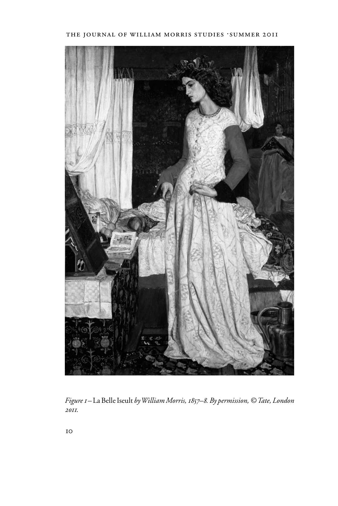

*Figure 1 –* La Belle Iseult *by William Morris, 1857–8. By permission, © Tate, London 2011.*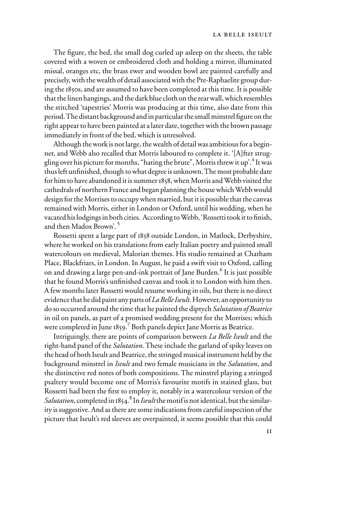The figure, the bed, the small dog curled up asleep on the sheets, the table covered with a woven or embroidered cloth and holding a mirror, illuminated missal, oranges etc, the brass ewer and wooden bowl are painted carefully and precisely, with the wealth of detail associated with the Pre-Raphaelite group during the 1850s, and are assumed to have been completed at this time. It is possible that the linen hangings, and the dark blue cloth on the rear wall, which resembles the stitched 'tapestries' Morris was producing at this time, also date from this period. The distant background and in particular the small minstrel figure on the right appear to have been painted at a later date, together with the brown passage immediately in front of the bed, which is unresolved.

Although the work is not large, the wealth of detail was ambitious for a beginner, and Webb also recalled that Morris laboured to complete it. '[A]fter struggling over his picture for months, "hating the brute", Morris threw it up<sup>'.4</sup> It was thus left unfinished, though to what degree is unknown. The most probable date for him to have abandoned it is summer 1858, when Morris and Webb visited the cathedrals of northern France and began planning the house which Webb would design for the Morrises to occupy when married, but it is possible that the canvas remained with Morris, either in London or Oxford, until his wedding, when he vacated his lodgings in both cities. According to Webb, 'Rossetti took it to finish, and then Madox Brown'.<sup>5</sup>

Rossetti spent a large part of 1858 outside London, in Matlock, Derbyshire, where he worked on his translations from early Italian poetry and painted small watercolours on medieval, Malorian themes. His studio remained at Chatham Place, Blackfriars, in London. In August, he paid a swift visit to Oxford, calling on and drawing a large pen-and-ink portrait of Jane Burden.<sup>6</sup> It is just possible that he found Morris's unfinished canvas and took it to London with him then. A few months later Rossetti would resume working in oils, but there is no direct evidence that he did paint any parts of *La Belle Iseult*. However, an opportunity to do so occurred around the time that he painted the diptych *Salutation of Beatrice* in oil on panels, as part of a promised wedding present for the Morrises; which were completed in June 1859.<sup>7</sup> Both panels depict Jane Morris as Beatrice.

Intriguingly, there are points of comparison between *La Belle Iseult* and the right-hand panel of the *Salutation*. These include the garland of spiky leaves on the head of both Iseult and Beatrice, the stringed musical instrument held by the background minstrel in *Iseult* and two female musicians in the *Salutation*, and the distinctive red notes of both compositions. The minstrel playing a stringed psaltery would become one of Morris's favourite motifs in stained glass, but Rossetti had been the first to employ it, notably in a watercolour version of the Salutation, completed in 1854.<sup>8</sup> In *Iseult* the motif is not identical, but the similarity is suggestive. And as there are some indications from careful inspection of the picture that Iseult's red sleeves are overpainted, it seems possible that this could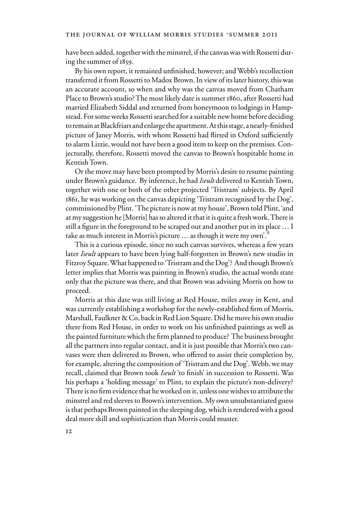have been added, together with the minstrel, if the canvas was with Rossetti during the summer of 1859.

By his own report, it remained unfinished, however; and Webb's recollection transferred it from Rossetti to Madox Brown. In view of its later history, this was an accurate account, so when and why was the canvas moved from Chatham Place to Brown's studio? The most likely date is summer 1860, after Rossetti had married Elizabeth Siddal and returned from honeymoon to lodgings in Hampstead. For some weeks Rossetti searched for a suitable new home before deciding to remain at Blackfriars and enlarge the apartment. At this stage, a nearly-finished picture of Janey Morris, with whom Rossetti had flirted in Oxford sufficiently to alarm Lizzie, would not have been a good item to keep on the premises. Conjecturally, therefore, Rossetti moved the canvas to Brown's hospitable home in Kentish Town.

Or the move may have been prompted by Morris's desire to resume painting under Brown's guidance. By inference, he had *Iseult* delivered to Kentish Town, together with one or both of the other projected 'Tristram' subjects. By April 1861, he was working on the canvas depicting 'Tristram recognised by the Dog', commissioned by Plint. 'The picture is now at my house', Brown told Plint, 'and at my suggestion he [Morris] has so altered it that it is quite a fresh work. There is still a figure in the foreground to be scraped out and another put in its place ... I take as much interest in Morris's picture  $\ldots$  as though it were my own'.<sup>9</sup>

This is a curious episode, since no such canvas survives, whereas a few years later *Iseult* appears to have been lying half-forgotten in Brown's new studio in Fitzroy Square. What happened to 'Tristram and the Dog'? And though Brown's letter implies that Morris was painting in Brown's studio, the actual words state only that the picture was there, and that Brown was advising Morris on how to proceed.

Morris at this date was still living at Red House, miles away in Kent, and was currently establishing a workshop for the newly-established firm of Morris, Marshall, Faulkner & Co, back in Red Lion Square. Did he move his own studio there from Red House, in order to work on his unfinished paintings as well as the painted furniture which the firm planned to produce? The business brought all the partners into regular contact, and it is just possible that Morris's two canvases were then delivered to Brown, who offered to assist their completion by, for example, altering the composition of 'Tristram and the Dog'. Webb, we may recall, claimed that Brown took *Iseult* 'to finish' in succession to Rossetti. Was his perhaps a 'holding message' to Plint, to explain the picture's non-delivery? There is no firm evidence that he worked on it, unless one wishes to attribute the minstrel and red sleeves to Brown's intervention. My own unsubstantiated guess is that perhaps Brown painted in the sleeping dog, which is rendered with a good deal more skill and sophistication than Morris could muster.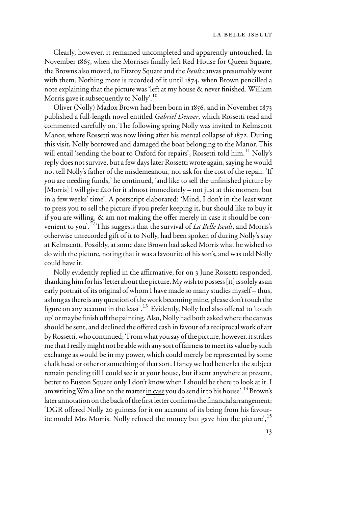Clearly, however, it remained uncompleted and apparently untouched. In November 1865, when the Morrises finally left Red House for Queen Square, the Browns also moved, to Fitzroy Square and the *Iseult* canvas presumably went with them. Nothing more is recorded of it until 1874, when Brown pencilled a note explaining that the picture was 'left at my house  $\&$  never finished. William Morris gave it subsequently to Nolly'.<sup>10</sup>

Oliver (Nolly) Madox Brown had been born in 1856, and in November 1873 published a full-length novel entitled *Gabriel Denver*, which Rossetti read and commented carefully on. The following spring Nolly was invited to Kelmscott Manor, where Rossetti was now living after his mental collapse of 1872. During this visit, Nolly borrowed and damaged the boat belonging to the Manor. This will entail 'sending the boat to Oxford for repairs', Rossetti told him.<sup>11</sup> Nolly's reply does not survive, but a few days later Rossetti wrote again, saying he would not tell Nolly's father of the misdemeanour, nor ask for the cost of the repair. 'If you are needing funds,' he continued, 'and like to sell the unfinished picture by [Morris] I will give £20 for it almost immediately – not just at this moment but in a few weeks' time'. A postscript elaborated: 'Mind, I don't in the least want to press you to sell the picture if you prefer keeping it, but should like to buy it if you are willing,  $\&$  am not making the offer merely in case it should be convenient to you'.12 This suggests that the survival of *La Belle Iseult*, and Morris's otherwise unrecorded gift of it to Nolly, had been spoken of during Nolly's stay at Kelmscott. Possibly, at some date Brown had asked Morris what he wished to do with the picture, noting that it was a favourite of his son's, and was told Nolly could have it.

Nolly evidently replied in the affirmative, for on 3 June Rossetti responded, thanking him for his 'letter about the picture. My wish to possess [it] is solely as an early portrait of its original of whom I have made so many studies myself – thus, as long as there is any question of the work becoming mine, please don't touch the figure on any account in the least'.<sup>13</sup> Evidently, Nolly had also offered to 'touch up' or maybe finish off the painting. Also, Nolly had both asked where the canvas should be sent, and declined the offered cash in favour of a reciprocal work of art by Rossetti, who continued; 'From what you say of the picture, however, it strikes me that I really might not be able with any sort of fairness to meet its value by such exchange as would be in my power, which could merely be represented by some chalk head or other or something of that sort. I fancy we had better let the subject remain pending till I could see it at your house, but if sent anywhere at present, better to Euston Square only I don't know when I should be there to look at it. I am writing Wm a line on the matter in case you do send it to his house'.<sup>14</sup> Brown's later annotation on the back of the first letter confirms the financial arrangement: 'DGR offered Nolly 20 guineas for it on account of its being from his favourite model Mrs Morris. Nolly refused the money but gave him the picture',<sup>15</sup>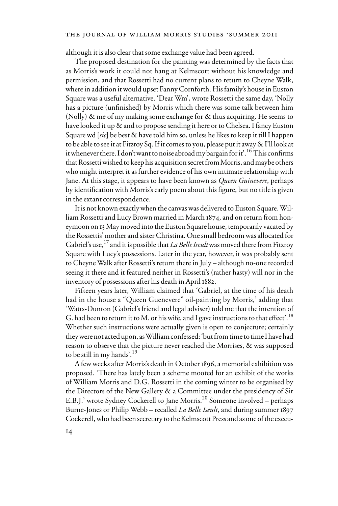## THE JOURNAL OF WILLIAM MORRIS STUDIES .SUMMER 2011

although it is also clear that some exchange value had been agreed.

The proposed destination for the painting was determined by the facts that as Morris's work it could not hang at Kelmscott without his knowledge and permission, and that Rossetti had no current plans to return to Cheyne Walk, where in addition it would upset Fanny Cornforth. His family's house in Euston Square was a useful alternative. 'Dear Wm', wrote Rossetti the same day, 'Nolly has a picture (unfinished) by Morris which there was some talk between him (Nolly) & me of my making some exchange for & thus acquiring. He seems to have looked it up & and to propose sending it here or to Chelsea. I fancy Euston Square wd [*sic*] be best & have told him so, unless he likes to keep it till I happen to be able to see it at Fitzroy Sq. If it comes to you, please put it away & I'll look at it whenever there. I don't want to noise abroad my bargain for it'.<sup>16</sup> This confirms that Rossetti wished to keep his acquisition secret from Morris, and maybe others who might interpret it as further evidence of his own intimate relationship with Jane. At this stage, it appears to have been known as *Queen Guinevere*, perhaps by identification with Morris's early poem about this figure, but no title is given in the extant correspondence.

It is not known exactly when the canvas was delivered to Euston Square. William Rossetti and Lucy Brown married in March 1874, and on return from honeymoon on 13 May moved into the Euston Square house, temporarily vacated by the Rossettis' mother and sister Christina. One small bedroom was allocated for Gabriel's use,<sup>17</sup> and it is possible that *La Belle Iseult* was moved there from Fitzroy Square with Lucy's possessions. Later in the year, however, it was probably sent to Cheyne Walk after Rossetti's return there in July – although no-one recorded seeing it there and it featured neither in Rossetti's (rather hasty) will nor in the inventory of possessions after his death in April 1882.

Fifteen years later, William claimed that 'Gabriel, at the time of his death had in the house a "Queen Guenevere" oil-painting by Morris,' adding that 'Watts-Dunton (Gabriel's friend and legal adviser) told me that the intention of G. had been to return it to M. or his wife, and I gave instructions to that effect'.<sup>18</sup> Whether such instructions were actually given is open to conjecture; certainly they were not acted upon, as William confessed: 'but from time to time I have had reason to observe that the picture never reached the Morrises, & was supposed to be still in my hands'.<sup>19</sup>

A few weeks after Morris's death in October 1896, a memorial exhibition was proposed. 'There has lately been a scheme mooted for an exhibit of the works of William Morris and D.G. Rossetti in the coming winter to be organised by the Directors of the New Gallery & a Committee under the presidency of Sir E.B.J.' wrote Sydney Cockerell to Jane Morris.<sup>20</sup> Someone involved – perhaps Burne-Jones or Philip Webb – recalled *La Belle Iseult*, and during summer 1897 Cockerell, who had been secretary to the Kelmscott Press and as one of the execu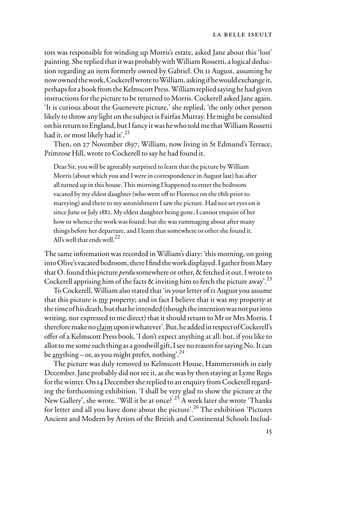tors was responsible for winding up Morris's estate, asked Jane about this 'lost' painting. She replied that it was probably with William Rossetti, a logical deduction regarding an item formerly owned by Gabriel. On 11 August, assuming he now owned the work, Cockerell wrote to William, asking if he would exchange it, perhaps for a book from the Kelmscott Press. William replied saying he had given instructions for the picture to be returned to Morris. Cockerell asked Jane again. 'It is curious about the Guenevere picture,' she replied, 'the only other person likely to throw any light on the subject is Fairfax Murray. He might be consulted on his return to England, but I fancy it was he who told me that William Rossetti had it, or most likely had it'.<sup>21</sup>

Then, on 27 November 1897, William, now living in St Edmund's Terrace, Primrose Hill, wrote to Cockerell to say he had found it.

Dear Sir, you will be agreeably surprised to learn that the picture by William Morris (about which you and I were in correspondence in August last) has after all turned up in this house. This morning I happened to enter the bedroom vacated by my eldest daughter (who went off to Florence on the 18th prior to marrying) and there to my astonishment I saw the picture. Had not set eyes on it since June or July 1882. My eldest daughter being gone, I cannot enquire of her how or whence the work was found; but she was rummaging about after many things before her departure, and I learn that somewhere or other she found it. All's well that ends well.<sup>22</sup>

The same information was recorded in William's diary: 'this morning, on going into Olive's vacated bedroom, there I find the work displayed. I gather from Mary that O. found this picture *perdu* somewhere or other, & fetched it out. I wrote to Cockerell apprising him of the facts  $\&$  inviting him to fetch the picture away'.<sup>23</sup>

To Cockerell, William also stated that 'in your letter of 11 August you assume that this picture is <u>my</u> property; and in fact I believe that it was my property at the time of his death, but that he intended (though the intention was not put into writing, nor expressed to me direct) that it should return to Mr or Mrs Morris. I therefore make no claim upon it whatever'. But, he added in respect of Cockerell's offer of a Kelmscott Press book, 'I don't expect anything at all: but, if you like to allot to me some such thing as a goodwill gift, I see no reason for saying No. It can be <u>any</u>thing – or, as you might prefer, nothing<sup>'.24</sup>

The picture was duly removed to Kelmscott House, Hammersmith in early December. Jane probably did not see it, as she was by then staying at Lyme Regis for the winter. On 14 December she replied to an enquiry from Cockerell regarding the forthcoming exhibition. 'I shall be very glad to show the picture at the New Gallery', she wrote. 'Will it be at once?' <sup>25</sup> A week later she wrote 'Thanks' for letter and all you have done about the picture'.<sup>26</sup> The exhibition 'Pictures Ancient and Modern by Artists of the British and Continental Schools Includ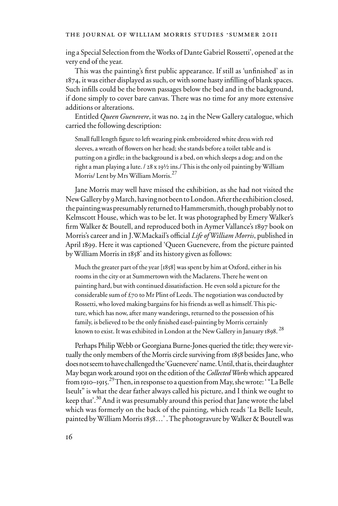ing a Special Selection from the Works of Dante Gabriel Rossetti', opened at the very end of the year.

This was the painting's first public appearance. If still as 'unfinished' as in 1874, it was either displayed as such, or with some hasty infilling of blank spaces. Such infills could be the brown passages below the bed and in the background, if done simply to cover bare canvas. There was no time for any more extensive additions or alterations.

Entitled *Queen Guenevere*, it was no. 24 in the New Gallery catalogue, which carried the following description:

Small full length figure to left wearing pink embroidered white dress with red sleeves, a wreath of flowers on her head; she stands before a toilet table and is putting on a girdle; in the background is a bed, on which sleeps a dog; and on the right a man playing a lute. / 28 x 19½ ins./ This is the only oil painting by William Morris/ Lent by Mrs William Morris.<sup>27</sup>

Jane Morris may well have missed the exhibition, as she had not visited the New Gallery by 9 March, having not been to London. After the exhibition closed, the painting was presumably returned to Hammersmith, though probably not to Kelmscott House, which was to be let. It was photographed by Emery Walker's firm Walker & Boutell, and reproduced both in Aymer Vallance's 1897 book on Morris's career and in J.W.Mackail's official *Life of William Morris*, published in April 1899. Here it was captioned 'Queen Guenevere, from the picture painted by William Morris in 1858' and its history given as follows:

Much the greater part of the year [1858] was spent by him at Oxford, either in his rooms in the city or at Summertown with the Maclarens. There he went on painting hard, but with continued dissatisfaction. He even sold a picture for the considerable sum of £70 to Mr Plint of Leeds. The negotiation was conducted by Rossetti, who loved making bargains for his friends as well as himself. This picture, which has now, after many wanderings, returned to the possession of his family, is believed to be the only finished easel-painting by Morris certainly known to exist. It was exhibited in London at the New Gallery in January 1898.  $^{28}$ 

Perhaps Philip Webb or Georgiana Burne-Jones queried the title; they were virtually the only members of the Morris circle surviving from 1858 besides Jane, who does not seem to have challenged the 'Guenevere' name. Until, that is, their daughter May began work around 1901 on the edition of the *Collected Works* which appeared from 1910–1915. 29 Then, in response to a question from May, she wrote: ' "La Belle Iseult" is what the dear father always called his picture, and I think we ought to keep that'.<sup>30</sup> And it was presumably around this period that Jane wrote the label which was formerly on the back of the painting, which reads 'La Belle Iseult, painted by William Morris 1858…' . The photogravure by Walker & Boutell was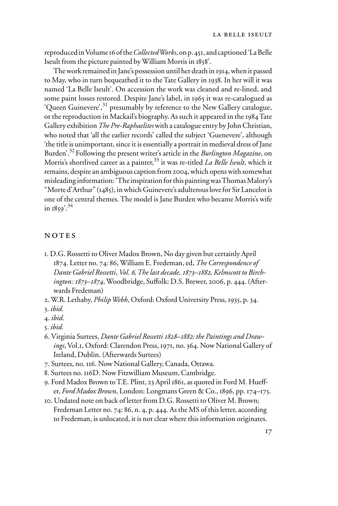reproduced in Volume 16 of the *Collected Works*, on p. 451, and captioned 'La Belle Iseult from the picture painted by William Morris in 1858'.

The work remained in Jane's possession until her death in 1914, when it passed to May, who in turn bequeathed it to the Tate Gallery in 1938. In her will it was named 'La Belle Iseult'. On accession the work was cleaned and re-lined, and some paint losses restored. Despite Jane's label, in 1965 it was re-catalogued as 'Queen Guinevere',31 presumably by reference to the New Gallery catalogue, or the reproduction in Mackail's biography. As such it appeared in the 1984 Tate Gallery exhibition *The Pre-Raphaelites* with a catalogue entry by John Christian, who noted that 'all the earlier records' called the subject 'Guenevere', although 'the title is unimportant, since it is essentially a portrait in medieval dress of Jane Burden'.32 Following the present writer's article in the *Burlington Magazine*, on Morris's shortlived career as a painter,33 it was re-titled *La Belle Iseult*, which it remains, despite an ambiguous caption from 2004, which opens with somewhat misleading information: 'The inspiration for this painting was Thomas Malory's "Morte d'Arthur" (1485), in which Guinevere's adulterous love for Sir Lancelot is one of the central themes. The model is Jane Burden who became Morris's wife in  $1859$ <sup>'.34</sup>

## NOTES

- 1. D.G. Rossetti to Oliver Madox Brown, No day given but certainly April 1874. Letter no. 74: 86, William E. Fredeman, ed, *The Correspondence of Dante Gabriel Rossetti*, *Vol. 6, The last decade, 1873–1882, Kelmscott to Birchington: 1873–1874*, Woodbridge, Suffolk: D.S. Brewer, 2006, p. 444. (Afterwards Fredeman)
- 2. W.R. Lethaby, *Philip Webb*, Oxford: Oxford University Press, 1935, p. 34.
- 3. *ibid.*
- 4. *ibid.*
- 5. *ibid.*
- 6. Virginia Surtees, *Dante Gabriel Rossetti 1828–1882: the Paintings and Drawings*, Vol.1, Oxford: Clarendon Press, 1971, no. 364. Now National Gallery of Ireland, Dublin. (Afterwards Surtees)
- 7. Surtees, no. 116. Now National Gallery, Canada, Ottawa.
- 8. Surtees no. 116D. Now Fitzwilliam Museum, Cambridge.
- 9. Ford Madox Brown to T.E. Plint, 23 April 1861, as quoted in Ford M. Hueffer, *Ford Madox Brown*, London: Longmans Green & Co., 1896, pp. 174–175.
- 10. Undated note on back of letter from D.G. Rossetti to Oliver M. Brown; Fredeman Letter no. 74: 86, n. 4, p. 444. As the MS of this letter, according to Fredeman, is unlocated, it is not clear where this information originates.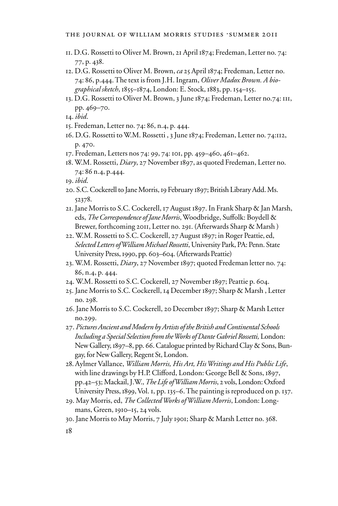- . D.G. Rossetti to Oliver M. Brown, 21 April 1874; Fredeman, Letter no. 74: , p. 438.
- . D.G. Rossetti to Oliver M. Brown, *ca* 25 April 1874; Fredeman, Letter no. : 86, p.444. The text is from J.H. Ingram, *Oliver Madox Brown. A biographical sketch*, 1855–1874, London: E. Stock, 1883, pp. 154–155.
- . D.G. Rossetti to Oliver M. Brown, 3 June 1874; Fredeman, Letter no.74: 111, pp. 469–70.
- . *ibid*.
- . Fredeman, Letter no. 74: 86, n.4, p. 444.
- . D.G. Rossetti to W.M. Rossetti , 3 June 1874; Fredeman, Letter no. 74:112, p. 470.
- . Fredeman, Letters nos 74: 99, 74: 101, pp. 459–460, 461–462.
- . W.M. Rossetti, *Diary*, 27 November 1897, as quoted Fredeman, Letter no. : 86 n.4, p.444.
- . *ibid*.
- . S.C. Cockerell to Jane Morris, 19 February 1897; British Library Add. Ms. .
- . Jane Morris to S.C. Cockerell, 17 August 1897. In Frank Sharp & Jan Marsh, eds, *The Correspondence of Jane Morris*, Woodbridge, Suffolk: Boydell & Brewer, forthcoming 2011, Letter no. 291. (Afterwards Sharp & Marsh )
- . W.M. Rossetti to S.C. Cockerell, 27 August 1897; in Roger Peattie, ed, *Selected Letters of William Michael Rossetti*, University Park, PA: Penn. State University Press, 1990, pp. 603–604. (Afterwards Peattie)
- . W.M. Rossetti, *Diary*, 27 November 1897; quoted Fredeman letter no. 74: , n.4, p. 444.
- . W.M. Rossetti to S.C. Cockerell, 27 November 1897; Peattie p. 604.
- . Jane Morris to S.C. Cockerell, 14 December 1897; Sharp & Marsh , Letter no. 298.
- . Jane Morris to S.C. Cockerell, 20 December 1897; Sharp & Marsh Letter no.299.
- . *Pictures Ancient and Modern by Artists of the British and Continental Schools Including a Special Selection from the Works of Dante Gabriel Rossetti,* London: New Gallery, 1897–8, pp. 66. Catalogue printed by Richard Clay & Sons, Bungay, for New Gallery, Regent St, London.
- . Aylmer Vallance, *William Morris, His Art, His Writings and His Public Life*, with line drawings by H.P. Clifford, London: George Bell & Sons, 1897, pp.42–53; Mackail, J.W., *The Life of William Morris*, 2 vols, London: Oxford University Press, 1899, Vol. 1, pp. 135–6. The painting is reproduced on p. 137.
- . May Morris, ed, *The Collected Works of William Morris*, London: Longmans, Green, 1910–15, 24 vols.
- . Jane Morris to May Morris, 7 July 1901; Sharp & Marsh Letter no. 368.